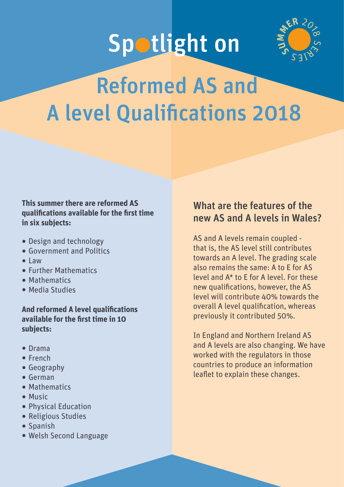# Spotlight on



# Reformed AS and A level Qualifications 2018

#### **This summer there are reformed AS qualifications available for the first time in six subjects:**

- ⚫ Design and technology
- ⚫ Government and Politics
- ⚫ Law
- ⚫ Further Mathematics
- ⚫ Mathematics
- ⚫ Media Studies

#### **And reformed A level qualifications available for the first time in 10 subjects:**

- ⚫ Drama
- ⚫ French
- ⚫ Geography
- ⚫ German
- ⚫ Mathematics
- ⚫ Music
- ⚫ Physical Education
- ⚫ Religious Studies
- ⚫ Spanish
- ⚫ Welsh Second Language

## What are the features of the new AS and A levels in Wales?

AS and A levels remain coupled that is, the AS level still contributes towards an A level. The grading scale also remains the same: A to E for AS level and A\* to E for A level. For these new qualifications, however, the AS level will contribute 40% towards the overall A level qualification, whereas previously it contributed 50%.

In England and Northern Ireland AS and A levels are also changing. We have worked with the regulators in those countries to produce an information leaflet to explain these changes.